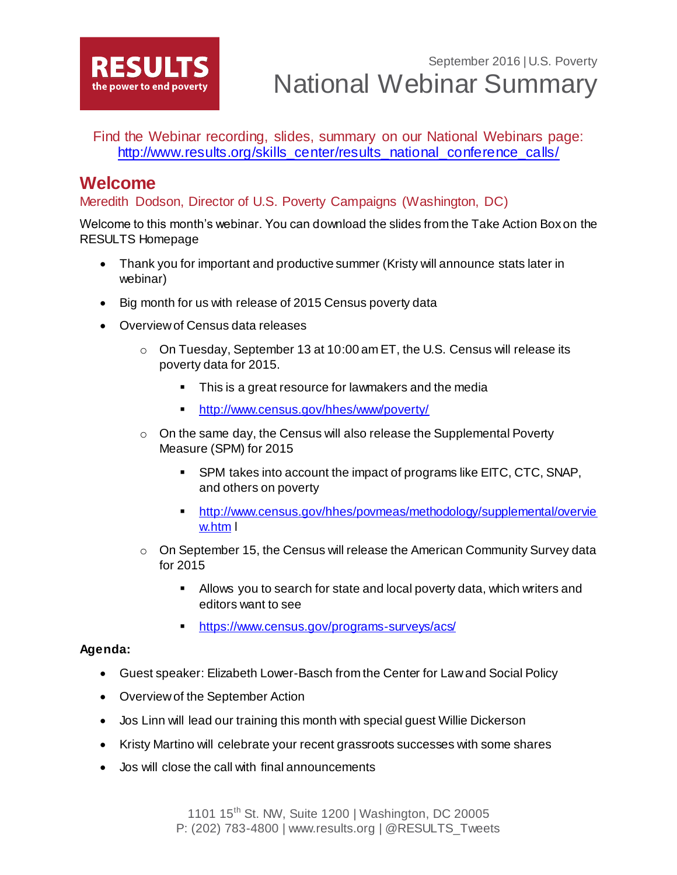

Find the Webinar recording, slides, summary on our National Webinars page: [http://www.results.org/skills\\_center/results\\_national\\_conference\\_calls/](http://www.results.org/skills_center/results_national_conference_calls/)

# **Welcome**

### Meredith Dodson, Director of U.S. Poverty Campaigns (Washington, DC)

Welcome to this month's webinar. You can download the slides from the Take Action Box on the RESULTS Homepage

- Thank you for important and productive summer (Kristy will announce stats later in webinar)
- Big month for us with release of 2015 Census poverty data
- Overview of Census data releases
	- $\circ$  On Tuesday, September 13 at 10:00 am ET, the U.S. Census will release its poverty data for 2015.
		- This is a great resource for lawmakers and the media
		- <http://www.census.gov/hhes/www/poverty/>
	- $\circ$  On the same day, the Census will also release the Supplemental Poverty Measure (SPM) for 2015
		- SPM takes into account the impact of programs like EITC, CTC, SNAP, and others on poverty
		- [http://www.census.gov/hhes/povmeas/methodology/supplemental/overvie](http://www.census.gov/hhes/povmeas/methodology/supplemental/overview.htm) [w.htm](http://www.census.gov/hhes/povmeas/methodology/supplemental/overview.htm) l
	- $\circ$  On September 15, the Census will release the American Community Survey data for 2015
		- Allows you to search for state and local poverty data, which writers and editors want to see
		- <https://www.census.gov/programs-surveys/acs/>

### **Agenda:**

- Guest speaker: Elizabeth Lower-Basch from the Center for Law and Social Policy
- Overview of the September Action
- Jos Linn will lead our training this month with special guest Willie Dickerson
- Kristy Martino will celebrate your recent grassroots successes with some shares
- Jos will close the call with final announcements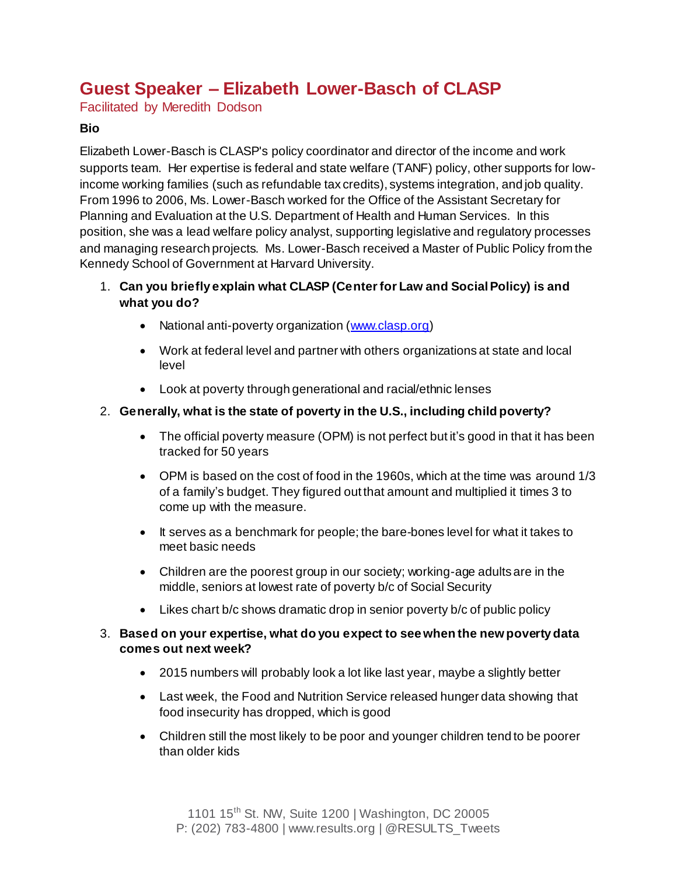# **Guest Speaker – Elizabeth Lower-Basch of CLASP**

Facilitated by Meredith Dodson

#### **Bio**

Elizabeth Lower-Basch is CLASP's policy coordinator and director of the income and work supports team. Her expertise is federal and state welfare (TANF) policy, other supports for lowincome working families (such as refundable tax credits), systems integration, and job quality. From 1996 to 2006, Ms. Lower-Basch worked for the Office of the Assistant Secretary for Planning and Evaluation at the U.S. Department of Health and Human Services. In this position, she was a lead welfare policy analyst, supporting legislative and regulatory processes and managing research projects. Ms. Lower-Basch received a Master of Public Policy from the Kennedy School of Government at Harvard University.

- 1. **Can you briefly explain what CLASP (Center for Law and Social Policy) is and what you do?**
	- National anti-poverty organization [\(www.clasp.org](http://www.clasp.org/))
	- Work at federal level and partner with others organizations at state and local level
	- Look at poverty through generational and racial/ethnic lenses

#### 2. **Generally, what is the state of poverty in the U.S., including child poverty?**

- The official poverty measure (OPM) is not perfect but it's good in that it has been tracked for 50 years
- OPM is based on the cost of food in the 1960s, which at the time was around 1/3 of a family's budget. They figured out that amount and multiplied it times 3 to come up with the measure.
- It serves as a benchmark for people; the bare-bones level for what it takes to meet basic needs
- Children are the poorest group in our society; working-age adults are in the middle, seniors at lowest rate of poverty b/c of Social Security
- Likes chart b/c shows dramatic drop in senior poverty b/c of public policy

#### 3. **Based on your expertise, what do you expect to see when the new poverty data comes out next week?**

- 2015 numbers will probably look a lot like last year, maybe a slightly better
- Last week, the Food and Nutrition Service released hunger data showing that food insecurity has dropped, which is good
- Children still the most likely to be poor and younger children tend to be poorer than older kids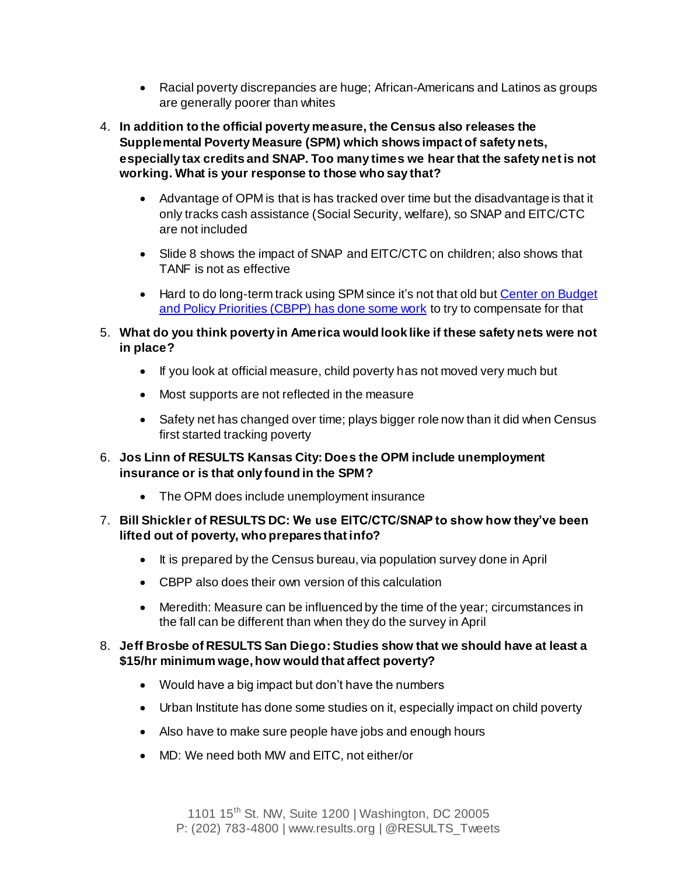- Racial poverty discrepancies are huge; African-Americans and Latinos as groups are generally poorer than whites
- 4. **In addition to the official poverty measure, the Census also releases the Supplemental Poverty Measure (SPM) which shows impact of safety nets, especially tax credits and SNAP. Too many times we hear that the safety net is not working. What is your response to those who say that?** 
	- Advantage of OPM is that is has tracked over time but the disadvantage is that it only tracks cash assistance (Social Security, welfare), so SNAP and EITC/CTC are not included
	- Slide 8 shows the impact of SNAP and EITC/CTC on children; also shows that TANF is not as effective
	- Hard to do long-term track using SPM since it's not that old but Center on Budget [and Policy Priorities \(CBPP\)](http://www.cbpp.org/research/poverty-and-inequality/be-wary-of-using-next-weeks-official-poverty-figures-to-assess-long) has done some work to try to compensate for that
- 5. **What do you think poverty in America would look like if these safety nets were not in place?**
	- If you look at official measure, child poverty has not moved very much but
	- Most supports are not reflected in the measure
	- Safety net has changed over time; plays bigger role now than it did when Census first started tracking poverty
- 6. **Jos Linn of RESULTS Kansas City: Does the OPM include unemployment insurance or is that only found in the SPM?**
	- The OPM does include unemployment insurance
- 7. **Bill Shickler of RESULTS DC: We use EITC/CTC/SNAP to show how they've been lifted out of poverty, who prepares that info?**
	- It is prepared by the Census bureau, via population survey done in April
	- CBPP also does their own version of this calculation
	- Meredith: Measure can be influenced by the time of the year; circumstances in the fall can be different than when they do the survey in April

#### 8. **Jeff Brosbe of RESULTS San Diego: Studies show that we should have at least a \$15/hr minimum wage, how would that affect poverty?**

- Would have a big impact but don't have the numbers
- Urban Institute has done some studies on it, especially impact on child poverty
- Also have to make sure people have jobs and enough hours
- MD: We need both MW and EITC, not either/or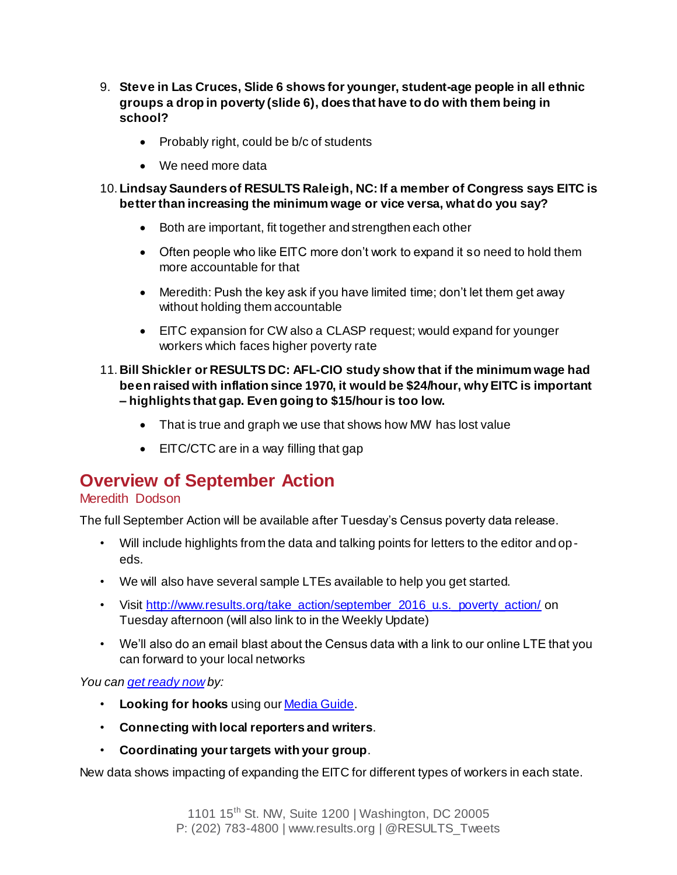- 9. **Steve in Las Cruces, Slide 6 shows for younger, student-age people in all ethnic groups a drop in poverty (slide 6), does that have to do with them being in school?**
	- Probably right, could be b/c of students
	- We need more data
- 10. **Lindsay Saunders of RESULTS Raleigh, NC: If a member of Congress says EITC is better than increasing the minimum wage or vice versa, what do you say?**
	- Both are important, fit together and strengthen each other
	- Often people who like EITC more don't work to expand it so need to hold them more accountable for that
	- Meredith: Push the key ask if you have limited time; don't let them get away without holding them accountable
	- EITC expansion for CW also a CLASP request; would expand for younger workers which faces higher poverty rate
- 11. **Bill Shickler or RESULTS DC: AFL-CIO study show that if the minimum wage had been raised with inflation since 1970, it would be \$24/hour, why EITC is important – highlights that gap. Even going to \$15/hour is too low.**
	- That is true and graph we use that shows how MW has lost value
	- EITC/CTC are in a way filling that gap

# **Overview of September Action**

## Meredith Dodson

The full September Action will be available after Tuesday's Census poverty data release.

- Will include highlights from the data and talking points for letters to the editor and opeds.
- We will also have several sample LTEs available to help you get started.
- Visit [http://www.results.org/take\\_action/september\\_2016\\_u.s.\\_poverty\\_action/](http://www.results.org/take_action/september_2016_u.s._poverty_action/) on Tuesday afternoon (will also link to in the Weekly Update)
- We'll also do an email blast about the Census data with a link to our online LTE that you can forward to your local networks

#### *You can [get ready now](http://www.results.org/weekly_update/u.s._poverty_weekly_update_september_6_2016/#TwentyMin) by:*

- **Looking for hooks** using ou[r Media Guide](http://capwiz.com/results/dbq/media/).
- **Connecting with local reporters and writers**.
- **Coordinating your targets with your group**.

New data shows impacting of expanding the EITC for different types of workers in each state.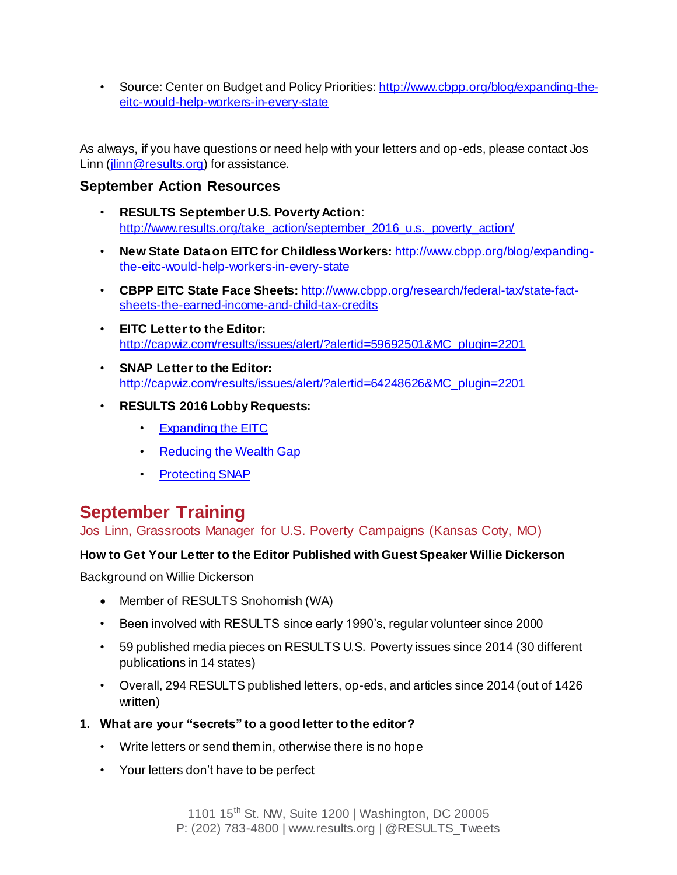• Source: Center on Budget and Policy Priorities[: http://www.cbpp.org/blog/expanding-the](http://www.cbpp.org/blog/expanding-the-eitc-would-help-workers-in-every-state)[eitc-would-help-workers-in-every-state](http://www.cbpp.org/blog/expanding-the-eitc-would-help-workers-in-every-state)

As always, if you have questions or need help with your letters and op-eds, please contact Jos Linn [\(jlinn@results.org](mailto:jlinn@results.org)) for assistance.

## **September Action Resources**

- **RESULTS September U.S. Poverty Action**: [http://www.results.org/take\\_action/september\\_2016\\_u.s.\\_poverty\\_action/](http://www.results.org/take_action/september_2016_u.s._poverty_action/)
- **New State Data on EITC for Childless Workers:** [http://www.cbpp.org/blog/expanding](http://www.cbpp.org/blog/expanding-the-eitc-would-help-workers-in-every-state)[the-eitc-would-help-workers-in-every-state](http://www.cbpp.org/blog/expanding-the-eitc-would-help-workers-in-every-state)
- **CBPP EITC State Face Sheets:** [http://www.cbpp.org/research/federal-tax/state-fact](http://www.cbpp.org/research/federal-tax/state-fact-sheets-the-earned-income-and-child-tax-credits)[sheets-the-earned-income-and-child-tax-credits](http://www.cbpp.org/research/federal-tax/state-fact-sheets-the-earned-income-and-child-tax-credits)
- **EITC Letter to the Editor:**  [http://capwiz.com/results/issues/alert/?alertid=59692501&MC\\_plugin=2201](http://capwiz.com/results/issues/alert/?alertid=59692501&MC_plugin=2201)
- **SNAP Letter to the Editor:**  [http://capwiz.com/results/issues/alert/?alertid=64248626&MC\\_plugin=2201](http://capwiz.com/results/issues/alert/?alertid=64248626&MC_plugin=2201)
- **RESULTS 2016 Lobby Requests:** 
	- [Expanding the EITC](http://www.results.org/uploads/files/RESULTS_Economic_Mobility_EITC_Congressional_Requests_(June_2016).pdf)
	- [Reducing the Wealth Gap](http://www.results.org/uploads/files/RESULTS_Economic_Mobility_Wealth_Gap_Congressional_Requests_(June_2016).pdf)
	- [Protecting SNAP](http://www.results.org/uploads/files/2016_RESULTS_Nutrition(SNAP)_Congressional_Requests.pdf)

# **September Training**

Jos Linn, Grassroots Manager for U.S. Poverty Campaigns (Kansas Coty, MO)

### **How to Get Your Letter to the Editor Published with Guest Speaker Willie Dickerson**

Background on Willie Dickerson

- Member of RESULTS Snohomish (WA)
- Been involved with RESULTS since early 1990's, regular volunteer since 2000
- 59 published media pieces on RESULTS U.S. Poverty issues since 2014 (30 different publications in 14 states)
- Overall, 294 RESULTS published letters, op-eds, and articles since 2014 (out of 1426 written)
- **1. What are your "secrets" to a good letter to the editor?**
	- Write letters or send them in, otherwise there is no hope
	- Your letters don't have to be perfect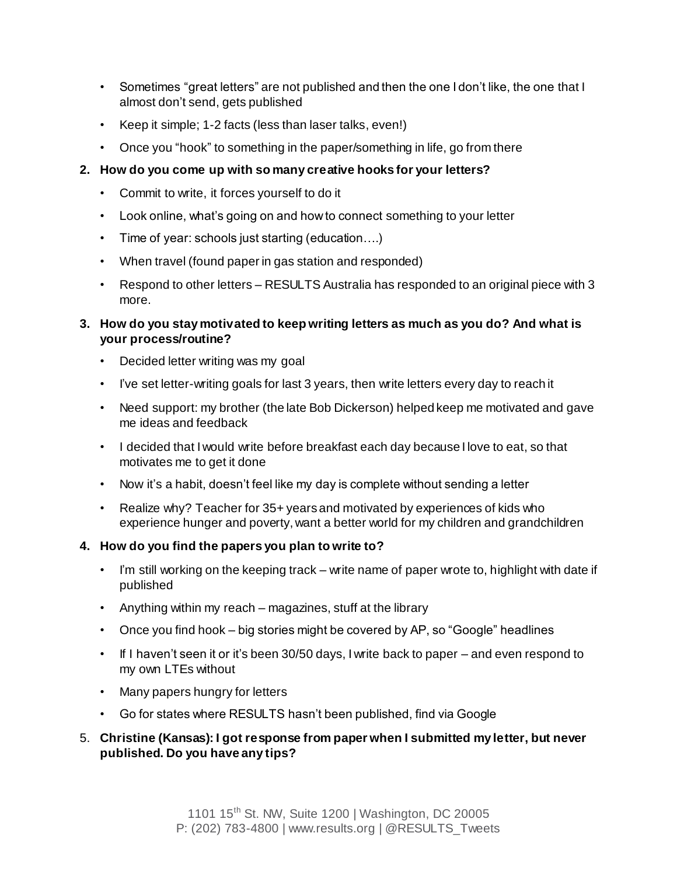- Sometimes "great letters" are not published and then the one I don't like, the one that I almost don't send, gets published
- Keep it simple; 1-2 facts (less than laser talks, even!)
- Once you "hook" to something in the paper/something in life, go from there
- **2. How do you come up with so many creative hooks for your letters?**
	- Commit to write, it forces yourself to do it
	- Look online, what's going on and how to connect something to your letter
	- Time of year: schools just starting (education....)
	- When travel (found paper in gas station and responded)
	- Respond to other letters RESULTS Australia has responded to an original piece with 3 more.

### **3. How do you stay motivated to keep writing letters as much as you do? And what is your process/routine?**

- Decided letter writing was my goal
- I've set letter-writing goals for last 3 years, then write letters every day to reach it
- Need support: my brother (the late Bob Dickerson) helped keep me motivated and gave me ideas and feedback
- I decided that I would write before breakfast each day because I love to eat, so that motivates me to get it done
- Now it's a habit, doesn't feel like my day is complete without sending a letter
- Realize why? Teacher for 35+ years and motivated by experiences of kids who experience hunger and poverty, want a better world for my children and grandchildren

### **4. How do you find the papers you plan to write to?**

- I'm still working on the keeping track write name of paper wrote to, highlight with date if published
- Anything within my reach magazines, stuff at the library
- Once you find hook big stories might be covered by AP, so "Google" headlines
- If I haven't seen it or it's been 30/50 days, I write back to paper and even respond to my own LTEs without
- Many papers hungry for letters
- Go for states where RESULTS hasn't been published, find via Google

### 5. **Christine (Kansas): I got response from paper when I submitted my letter, but never published. Do you have any tips?**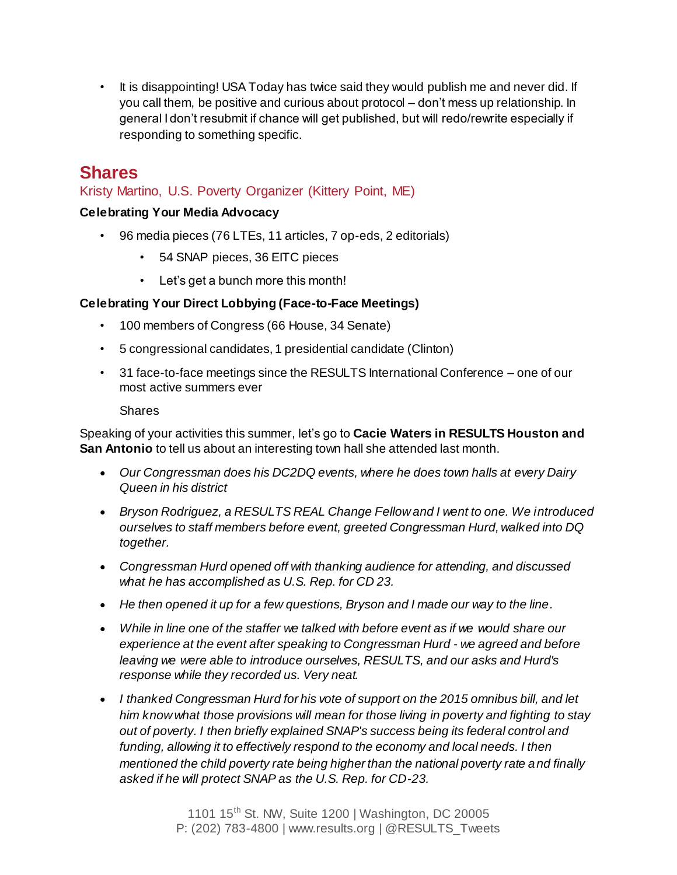• It is disappointing! USA Today has twice said they would publish me and never did. If you call them, be positive and curious about protocol – don't mess up relationship. In general I don't resubmit if chance will get published, but will redo/rewrite especially if responding to something specific.

# **Shares**

## Kristy Martino, U.S. Poverty Organizer (Kittery Point, ME)

### **Celebrating Your Media Advocacy**

- 96 media pieces (76 LTEs, 11 articles, 7 op-eds, 2 editorials)
	- 54 SNAP pieces, 36 EITC pieces
	- Let's get a bunch more this month!

### **Celebrating Your Direct Lobbying (Face-to-Face Meetings)**

- 100 members of Congress (66 House, 34 Senate)
- 5 congressional candidates, 1 presidential candidate (Clinton)
- 31 face-to-face meetings since the RESULTS International Conference one of our most active summers ever

#### Shares

Speaking of your activities this summer, let's go to **Cacie Waters in RESULTS Houston and San Antonio** to tell us about an interesting town hall she attended last month.

- *Our Congressman does his DC2DQ events, where he does town halls at every Dairy Queen in his district*
- *Bryson Rodriguez, a RESULTS REAL Change Fellow and I went to one. We introduced ourselves to staff members before event, greeted Congressman Hurd, walked into DQ together.*
- *Congressman Hurd opened off with thanking audience for attending, and discussed what he has accomplished as U.S. Rep. for CD 23.*
- *He then opened it up for a few questions, Bryson and I made our way to the line.*
- *While in line one of the staffer we talked with before event as if we would share our experience at the event after speaking to Congressman Hurd - we agreed and before leaving we were able to introduce ourselves, RESULTS, and our asks and Hurd's response while they recorded us. Very neat.*
- *I thanked Congressman Hurd for his vote of support on the 2015 omnibus bill, and let him know what those provisions will mean for those living in poverty and fighting to stay out of poverty. I then briefly explained SNAP's success being its federal control and*  funding, allowing it to effectively respond to the economy and local needs. I then *mentioned the child poverty rate being higher than the national poverty rate and finally asked if he will protect SNAP as the U.S. Rep. for CD-23.*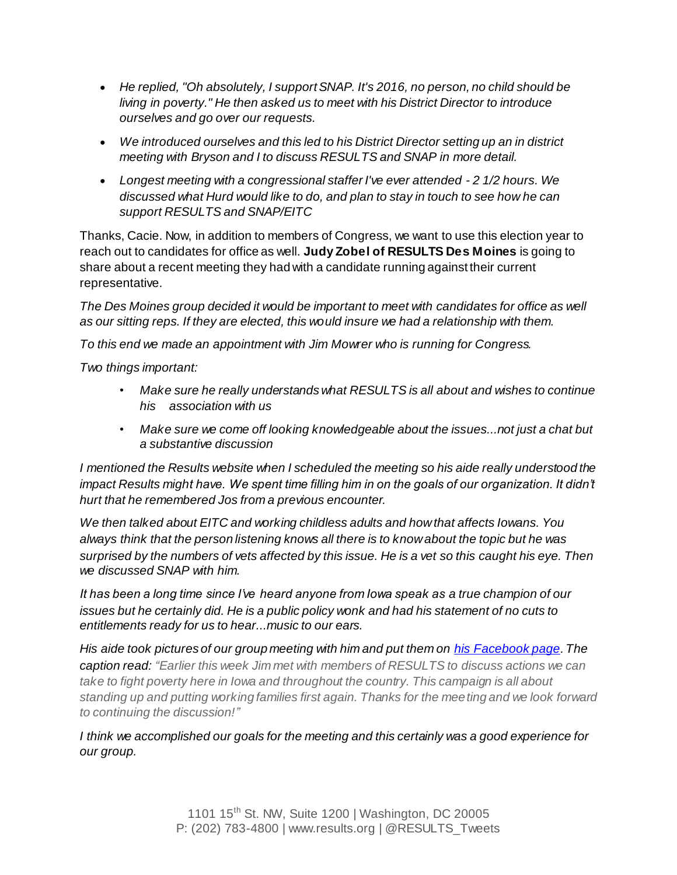- *He replied, "Oh absolutely, I support SNAP. It's 2016, no person, no child should be living in poverty." He then asked us to meet with his District Director to introduce ourselves and go over our requests.*
- *We introduced ourselves and this led to his District Director setting up an in district meeting with Bryson and I to discuss RESULTS and SNAP in more detail.*
- *Longest meeting with a congressional staffer I've ever attended - 2 1/2 hours. We discussed what Hurd would like to do, and plan to stay in touch to see how he can support RESULTS and SNAP/EITC*

Thanks, Cacie. Now, in addition to members of Congress, we want to use this election year to reach out to candidates for office as well. **Judy Zobel of RESULTS Des Moines** is going to share about a recent meeting they had with a candidate running against their current representative.

*The Des Moines group decided it would be important to meet with candidates for office as well as our sitting reps. If they are elected, this would insure we had a relationship with them.*

*To this end we made an appointment with Jim Mowrer who is running for Congress.*

*Two things important:*

- *Make sure he really understands what RESULTS is all about and wishes to continue his association with us*
- *Make sure we come off looking knowledgeable about the issues...not just a chat but a substantive discussion*

*I mentioned the Results website when I scheduled the meeting so his aide really understood the impact Results might have. We spent time filling him in on the goals of our organization. It didn't hurt that he remembered Jos from a previous encounter.*

*We then talked about EITC and working childless adults and how that affects Iowans. You always think that the person listening knows all there is to know about the topic but he was surprised by the numbers of vets affected by this issue. He is a vet so this caught his eye. Then we discussed SNAP with him.*

*It has been a long time since I've heard anyone from Iowa speak as a true champion of our issues but he certainly did. He is a public policy wonk and had his statement of no cuts to entitlements ready for us to hear...music to our ears.*

*His aide took pictures of our group meeting with him and put them on [his Facebook page](https://www.facebook.com/MowrerforIowa/photos/a.500210953381794.1073741828.497300430339513/1075717305831153/?type=3&theater). The caption read: "Earlier this week Jim met with members of RESULTS to discuss actions we can take to fight poverty here in Iowa and throughout the country. This campaign is all about standing up and putting working families first again. Thanks for the meeting and we look forward to continuing the discussion!"*

*I think we accomplished our goals for the meeting and this certainly was a good experience for our group.*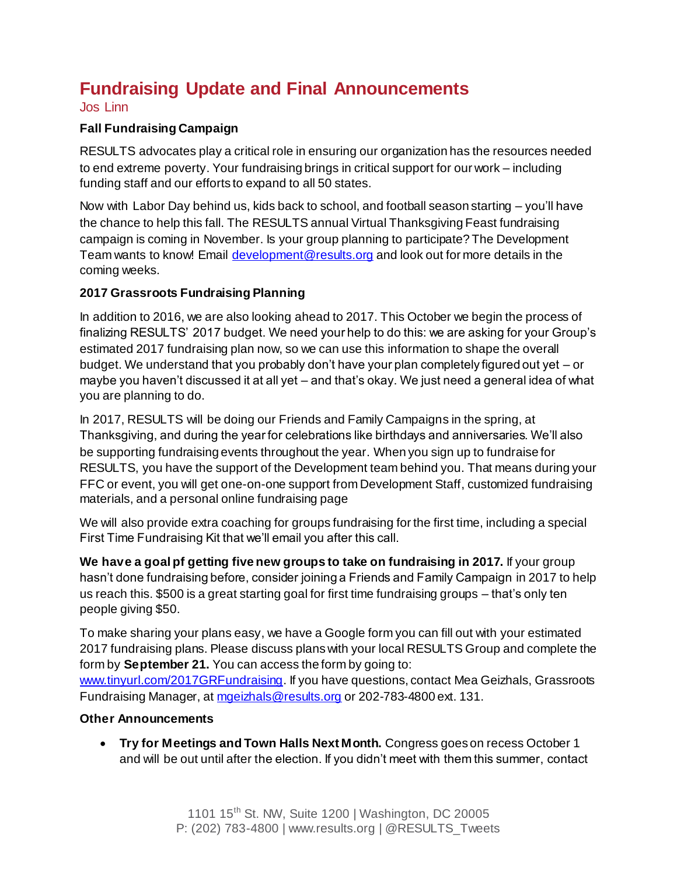# **Fundraising Update and Final Announcements**

#### Jos Linn

### **Fall Fundraising Campaign**

RESULTS advocates play a critical role in ensuring our organization has the resources needed to end extreme poverty. Your fundraising brings in critical support for our work – including funding staff and our efforts to expand to all 50 states.

Now with Labor Day behind us, kids back to school, and football season starting – you'll have the chance to help this fall. The RESULTS annual Virtual Thanksgiving Feast fundraising campaign is coming in November. Is your group planning to participate? The Development Team wants to know! Email [development@results.org](mailto:development@results.org) and look out for more details in the coming weeks.

### **2017 Grassroots Fundraising Planning**

In addition to 2016, we are also looking ahead to 2017. This October we begin the process of finalizing RESULTS' 2017 budget. We need your help to do this: we are asking for your Group's estimated 2017 fundraising plan now, so we can use this information to shape the overall budget. We understand that you probably don't have your plan completely figured out yet – or maybe you haven't discussed it at all yet – and that's okay. We just need a general idea of what you are planning to do.

In 2017, RESULTS will be doing our Friends and Family Campaigns in the spring, at Thanksgiving, and during the year for celebrations like birthdays and anniversaries. We'll also be supporting fundraising events throughout the year. When you sign up to fundraise for RESULTS, you have the support of the Development team behind you. That means during your FFC or event, you will get one-on-one support from Development Staff, customized fundraising materials, and a personal online fundraising page

We will also provide extra coaching for groups fundraising for the first time, including a special First Time Fundraising Kit that we'll email you after this call.

**We have a goal pf getting five new groups to take on fundraising in 2017.** If your group hasn't done fundraising before, consider joining a Friends and Family Campaign in 2017 to help us reach this. \$500 is a great starting goal for first time fundraising groups – that's only ten people giving \$50.

To make sharing your plans easy, we have a Google form you can fill out with your estimated 2017 fundraising plans. Please discuss plans with your local RESULTS Group and complete the form by **September 21.** You can access the form by going to:

[www.tinyurl.com/2017GRFundraising](http://www.tinyurl.com/2017GRFundraising). If you have questions, contact Mea Geizhals, Grassroots Fundraising Manager, a[t mgeizhals@results.org](mailto:mgeizhals@results.org) or 202-783-4800 ext. 131.

### **Other Announcements**

 **Try for Meetings and Town Halls Next Month.** Congress goes on recess October 1 and will be out until after the election. If you didn't meet with them this summer, contact